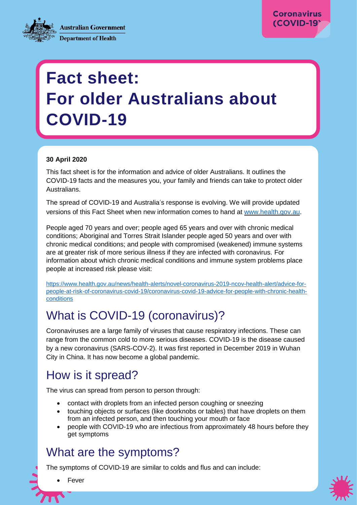**Coronavirus** (COVID-19)

**Australian Government Department of Health** 

# **Fact sheet: For older Australians about COVID-19**

#### **30 April 2020**

This fact sheet is for the information and advice of older Australians. It outlines the COVID-19 facts and the measures you, your family and friends can take to protect older **Australians** 

The spread of COVID-19 and Australia's response is evolving. We will provide updated versions of this Fact Sheet when new information comes to hand at [www.health.gov.au.](http://www.health.gov.au/)

People aged 70 years and over; people aged 65 years and over with chronic medical conditions; Aboriginal and Torres Strait Islander people aged 50 years and over with chronic medical conditions; and people with compromised (weakened) immune systems are at greater risk of more serious illness if they are infected with coronavirus. For information about which chronic medical conditions and immune system problems place people at increased risk please visit:

[https://www.health.gov.au/news/health-alerts/novel-coronavirus-2019-ncov-health-alert/advice-for](https://www.health.gov.au/news/health-alerts/novel-coronavirus-2019-ncov-health-alert/advice-for-people-at-risk-of-coronavirus-covid-19/coronavirus-covid-19-advice-for-people-with-chronic-health-conditions)[people-at-risk-of-coronavirus-covid-19/coronavirus-covid-19-advice-for-people-with-chronic-health](https://www.health.gov.au/news/health-alerts/novel-coronavirus-2019-ncov-health-alert/advice-for-people-at-risk-of-coronavirus-covid-19/coronavirus-covid-19-advice-for-people-with-chronic-health-conditions)[conditions](https://www.health.gov.au/news/health-alerts/novel-coronavirus-2019-ncov-health-alert/advice-for-people-at-risk-of-coronavirus-covid-19/coronavirus-covid-19-advice-for-people-with-chronic-health-conditions)

#### What is COVID-19 (coronavirus)?

 $\mathbb{E}_{\mathbf{H}}\left[\mathbf{H}_{\mathbf{H}}\right]$  is the sub-Herecu sub-Herecu sub-Herecu sub-Herecu sub-Herecu sub-Herecu sub-Herecu sub-Herecu sub-Herecu sub-Herecu sub-Herecu sub-Herecu sub-Herecu sub-Herecu sub-Herecu sub-Herecu sub-He

Coronaviruses are a large family of viruses that cause respiratory infections. These can range from the common cold to more serious diseases. COVID-19 is the disease caused by a new coronavirus (SARS-COV-2). It was first reported in December 2019 in Wuhan City in China. It has now become a global pandemic.

#### How is it spread?

The virus can spread from person to person through:

- contact with droplets from an infected person coughing or sneezing
- touching objects or surfaces (like doorknobs or tables) that have droplets on them from an infected person, and then touching your mouth or face
- people with COVID-19 who are infectious from approximately 48 hours before they get symptoms

#### What are the symptoms?

Shortness of breath or difficulty breathing

The symptoms of COVID-19 are similar to colds and flus and can include:



Fever

 Sore throat **County**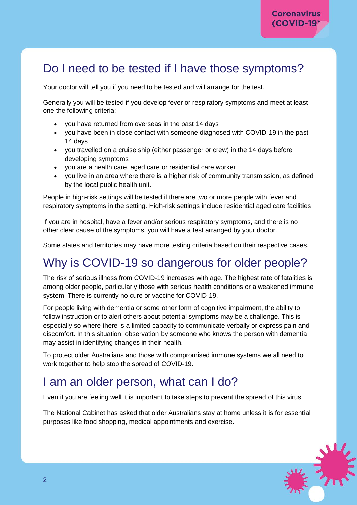#### Do I need to be tested if I have those symptoms?

Your doctor will tell you if you need to be tested and will arrange for the test.

Generally you will be tested if you develop fever or respiratory symptoms and meet at least one the following criteria:

- you have returned from overseas in the past 14 days
- you have been in close contact with someone diagnosed with COVID-19 in the past 14 days
- you travelled on a cruise ship (either passenger or crew) in the 14 days before developing symptoms
- you are a health care, aged care or residential care worker
- you live in an area where there is a higher risk of community transmission, as defined by the local public health unit.

People in high-risk settings will be tested if there are two or more people with fever and respiratory symptoms in the setting. High-risk settings include residential aged care facilities

If you are in hospital, have a fever and/or serious respiratory symptoms, and there is no other clear cause of the symptoms, you will have a test arranged by your doctor.

Some states and territories may have more testing criteria based on their respective cases.

#### Why is COVID-19 so dangerous for older people?

The risk of serious illness from COVID-19 increases with age. The highest rate of fatalities is among older people, particularly those with serious health conditions or a weakened immune system. There is currently no cure or vaccine for COVID-19.

For people living with dementia or some other form of cognitive impairment, the ability to follow instruction or to alert others about potential symptoms may be a challenge. This is especially so where there is a limited capacity to communicate verbally or express pain and discomfort. In this situation, observation by someone who knows the person with dementia may assist in identifying changes in their health.

To protect older Australians and those with compromised immune systems we all need to work together to help stop the spread of COVID-19.

#### I am an older person, what can I do?

Even if you are feeling well it is important to take steps to prevent the spread of this virus.

The National Cabinet has asked that older Australians stay at home unless it is for essential purposes like food shopping, medical appointments and exercise.

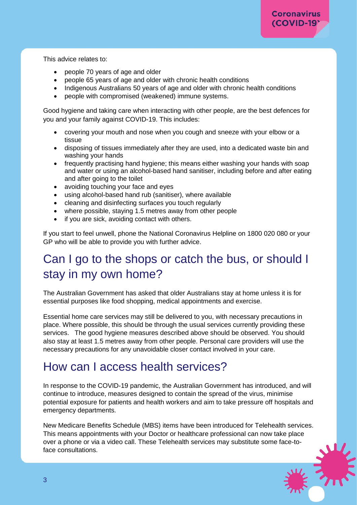This advice relates to:

- people 70 years of age and older
- people 65 years of age and older with chronic health conditions
- Indigenous Australians 50 years of age and older with chronic health conditions
- people with compromised (weakened) immune systems.

Good hygiene and taking care when interacting with other people, are the best defences for you and your family against COVID-19. This includes:

- covering your mouth and nose when you cough and sneeze with your elbow or a tissue
- disposing of tissues immediately after they are used, into a dedicated waste bin and washing your hands
- frequently practising hand hygiene; this means either washing your hands with soap and water or using an alcohol-based hand sanitiser, including before and after eating and after going to the toilet
- avoiding touching your face and eyes
- using alcohol-based hand rub (sanitiser), where available
- cleaning and disinfecting surfaces you touch regularly
- where possible, staying 1.5 metres away from other people
- if you are sick, avoiding contact with others.

If you start to feel unwell, phone the National Coronavirus Helpline on 1800 020 080 or your GP who will be able to provide you with further advice.

### Can I go to the shops or catch the bus, or should I stay in my own home?

The Australian Government has asked that older Australians stay at home unless it is for essential purposes like food shopping, medical appointments and exercise.

Essential home care services may still be delivered to you, with necessary precautions in place. Where possible, this should be through the usual services currently providing these services. The good hygiene measures described above should be observed. You should also stay at least 1.5 metres away from other people. Personal care providers will use the necessary precautions for any unavoidable closer contact involved in your care.

#### How can I access health services?

In response to the COVID-19 pandemic, the Australian Government has introduced, and will continue to introduce, measures designed to contain the spread of the virus, minimise potential exposure for patients and health workers and aim to take pressure off hospitals and emergency departments.

New Medicare Benefits Schedule (MBS) items have been introduced for Telehealth services. This means appointments with your Doctor or healthcare professional can now take place over a phone or via a video call. These Telehealth services may substitute some face-toface consultations.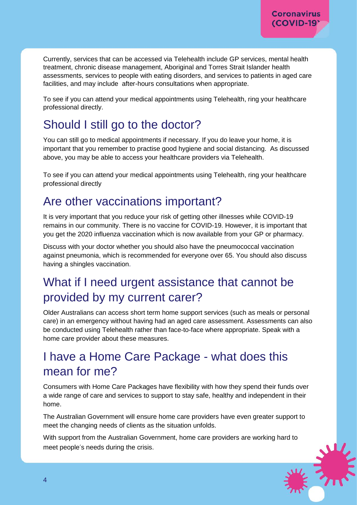Currently, services that can be accessed via Telehealth include GP services, mental health treatment, chronic disease management, Aboriginal and Torres Strait Islander health assessments, services to people with eating disorders, and services to patients in aged care facilities, and may include after-hours consultations when appropriate.

To see if you can attend your medical appointments using Telehealth, ring your healthcare professional directly.

# Should I still go to the doctor?

You can still go to medical appointments if necessary. If you do leave your home, it is important that you remember to practise good hygiene and social distancing. As discussed above, you may be able to access your healthcare providers via Telehealth.

To see if you can attend your medical appointments using Telehealth, ring your healthcare professional directly

#### Are other vaccinations important?

It is very important that you reduce your risk of getting other illnesses while COVID-19 remains in our community. There is no vaccine for COVID-19. However, it is important that you get the 2020 influenza vaccination which is now available from your GP or pharmacy.

Discuss with your doctor whether you should also have the pneumococcal vaccination against pneumonia, which is recommended for everyone over 65. You should also discuss having a shingles vaccination.

# What if I need urgent assistance that cannot be provided by my current carer?

Older Australians can access short term home support services (such as meals or personal care) in an emergency without having had an aged care assessment. Assessments can also be conducted using Telehealth rather than face-to-face where appropriate. Speak with a home care provider about these measures.

#### I have a Home Care Package - what does this mean for me?

Consumers with Home Care Packages have flexibility with how they spend their funds over a wide range of care and services to support to stay safe, healthy and independent in their home.

The Australian Government will ensure home care providers have even greater support to meet the changing needs of clients as the situation unfolds.

With support from the Australian Government, home care providers are working hard to meet people's needs during the crisis.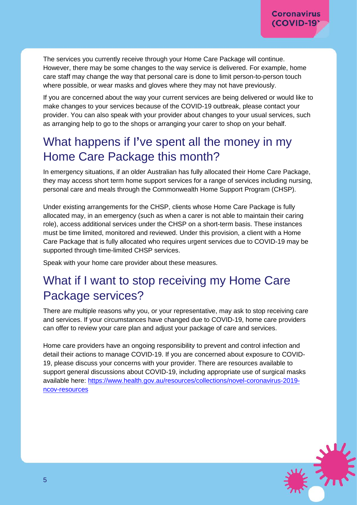The services you currently receive through your Home Care Package will continue. However, there may be some changes to the way service is delivered. For example, home care staff may change the way that personal care is done to limit person-to-person touch where possible, or wear masks and gloves where they may not have previously.

If you are concerned about the way your current services are being delivered or would like to make changes to your services because of the COVID-19 outbreak, please contact your provider. You can also speak with your provider about changes to your usual services, such as arranging help to go to the shops or arranging your carer to shop on your behalf.

# What happens if I**'**ve spent all the money in my Home Care Package this month?

In emergency situations, if an older Australian has fully allocated their Home Care Package, they may access short term home support services for a range of services including nursing, personal care and meals through the Commonwealth Home Support Program (CHSP).

Under existing arrangements for the CHSP, clients whose Home Care Package is fully allocated may, in an emergency (such as when a carer is not able to maintain their caring role), access additional services under the CHSP on a short-term basis. These instances must be time limited, monitored and reviewed. Under this provision, a client with a Home Care Package that is fully allocated who requires urgent services due to COVID-19 may be supported through time-limited CHSP services.

Speak with your home care provider about these measures.

#### What if I want to stop receiving my Home Care Package services?

There are multiple reasons why you, or your representative, may ask to stop receiving care and services. If your circumstances have changed due to COVID-19, home care providers can offer to review your care plan and adjust your package of care and services.

Home care providers have an ongoing responsibility to prevent and control infection and detail their actions to manage COVID-19. If you are concerned about exposure to COVID-19, please discuss your concerns with your provider. There are resources available to support general discussions about COVID-19, including appropriate use of surgical masks available here: [https://www.health.gov.au/resources/collections/novel-coronavirus-2019](https://www.health.gov.au/resources/collections/novel-coronavirus-2019-ncov-resources) [ncov-resources](https://www.health.gov.au/resources/collections/novel-coronavirus-2019-ncov-resources)

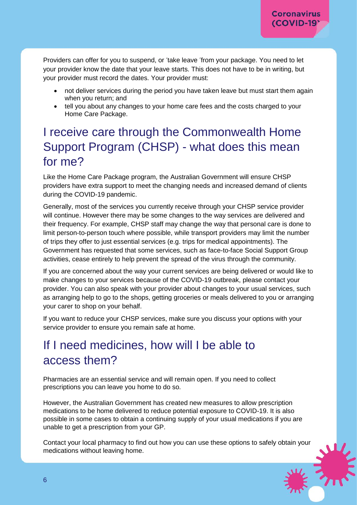Providers can offer for you to suspend, or 'take leave 'from your package. You need to let your provider know the date that your leave starts. This does not have to be in writing, but your provider must record the dates. Your provider must:

- not deliver services during the period you have taken leave but must start them again when you return; and
- tell you about any changes to your home care fees and the costs charged to your Home Care Package.

# I receive care through the Commonwealth Home Support Program (CHSP) - what does this mean for me?

Like the Home Care Package program, the Australian Government will ensure CHSP providers have extra support to meet the changing needs and increased demand of clients during the COVID-19 pandemic.

Generally, most of the services you currently receive through your CHSP service provider will continue. However there may be some changes to the way services are delivered and their frequency. For example, CHSP staff may change the way that personal care is done to limit person-to-person touch where possible, while transport providers may limit the number of trips they offer to just essential services (e.g. trips for medical appointments). The Government has requested that some services, such as face-to-face Social Support Group activities, cease entirely to help prevent the spread of the virus through the community.

If you are concerned about the way your current services are being delivered or would like to make changes to your services because of the COVID-19 outbreak, please contact your provider. You can also speak with your provider about changes to your usual services, such as arranging help to go to the shops, getting groceries or meals delivered to you or arranging your carer to shop on your behalf.

If you want to reduce your CHSP services, make sure you discuss your options with your service provider to ensure you remain safe at home.

# If I need medicines, how will I be able to access them?

Pharmacies are an essential service and will remain open. If you need to collect prescriptions you can leave you home to do so.

However, the Australian Government has created new measures to allow prescription medications to be home delivered to reduce potential exposure to COVID-19. It is also possible in some cases to obtain a continuing supply of your usual medications if you are unable to get a prescription from your GP.

Contact your local pharmacy to find out how you can use these options to safely obtain your medications without leaving home.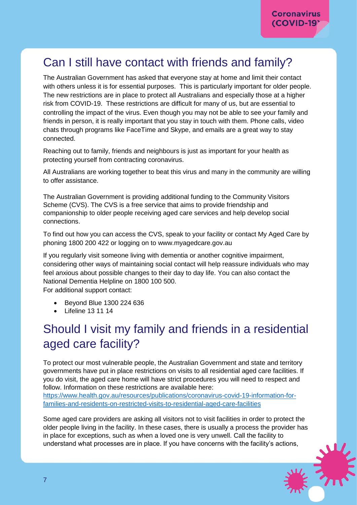# Can I still have contact with friends and family?

The Australian Government has asked that everyone stay at home and limit their contact with others unless it is for essential purposes. This is particularly important for older people. The new restrictions are in place to protect all Australians and especially those at a higher risk from COVID-19. These restrictions are difficult for many of us, but are essential to controlling the impact of the virus. Even though you may not be able to see your family and friends in person, it is really important that you stay in touch with them. Phone calls, video chats through programs like FaceTime and Skype, and emails are a great way to stay connected.

Reaching out to family, friends and neighbours is just as important for your health as protecting yourself from contracting coronavirus.

All Australians are working together to beat this virus and many in the community are willing to offer assistance.

The Australian Government is providing additional funding to the Community Visitors Scheme (CVS). The CVS is a free service that aims to provide friendship and companionship to older people receiving aged care services and help develop social connections.

To find out how you can access the CVS, speak to your facility or contact My Aged Care by phoning 1800 200 422 or logging on to [www.myagedcare.gov.au](http://www.myagedcare.gov.au/)

If you regularly visit someone living with dementia or another cognitive impairment, considering other ways of maintaining social contact will help reassure individuals who may feel anxious about possible changes to their day to day life. You can also contact the National Dementia Helpline on 1800 100 500. For additional support contact:

- Beyond Blue 1300 224 636
- Lifeline 13 11 14

# Should I visit my family and friends in a residential aged care facility?

To protect our most vulnerable people, the Australian Government and state and territory governments have put in place restrictions on visits to all residential aged care facilities. If you do visit, the aged care home will have strict procedures you will need to respect and follow. Information on these restrictions are available here:

[https://www.health.gov.au/resources/publications/coronavirus-covid-19-information-for](https://www.health.gov.au/resources/publications/coronavirus-covid-19-information-for-families-and-residents-on-restricted-visits-to-residential-aged-care-facilities)[families-and-residents-on-restricted-visits-to-residential-aged-care-facilities](https://www.health.gov.au/resources/publications/coronavirus-covid-19-information-for-families-and-residents-on-restricted-visits-to-residential-aged-care-facilities)

Some aged care providers are asking all visitors not to visit facilities in order to protect the older people living in the facility. In these cases, there is usually a process the provider has in place for exceptions, such as when a loved one is very unwell. Call the facility to understand what processes are in place. If you have concerns with the facility's actions,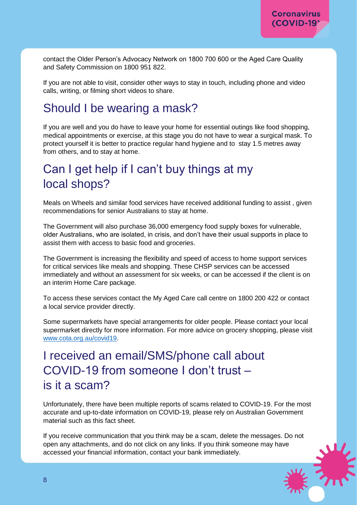contact the Older Person's Advocacy Network on 1800 700 600 or the Aged Care Quality and Safety Commission on 1800 951 822.

If you are not able to visit, consider other ways to stay in touch, including phone and video calls, writing, or filming short videos to share.

#### Should I be wearing a mask?

If you are well and you do have to leave your home for essential outings like food shopping, medical appointments or exercise, at this stage you do not have to wear a surgical mask. To protect yourself it is better to practice regular hand hygiene and to stay 1.5 metres away from others, and to stay at home.

#### Can I get help if I can't buy things at my local shops?

Meals on Wheels and similar food services have received additional funding to assist , given recommendations for senior Australians to stay at home.

The Government will also purchase 36,000 emergency food supply boxes for vulnerable, older Australians, who are isolated, in crisis, and don't have their usual supports in place to assist them with access to basic food and groceries.

The Government is increasing the flexibility and speed of access to home support services for critical services like meals and shopping. These CHSP services can be accessed immediately and without an assessment for six weeks, or can be accessed if the client is on an interim Home Care package.

To access these services contact the My Aged Care call centre on 1800 200 422 or contact a local service provider directly.

Some supermarkets have special arrangements for older people. Please contact your local supermarket directly for more information. For more advice on grocery shopping, please visit [www.cota.org.au/covid19.](http://www.cota.org.au/covid19)

I received an email/SMS/phone call about COVID-19 from someone I don't trust – is it a scam?

Unfortunately, there have been multiple reports of scams related to COVID-19. For the most accurate and up-to-date information on COVID-19, please rely on Australian Government material such as this fact sheet.

If you receive communication that you think may be a scam, delete the messages. Do not open any attachments, and do not click on any links. If you think someone may have accessed your financial information, contact your bank immediately.